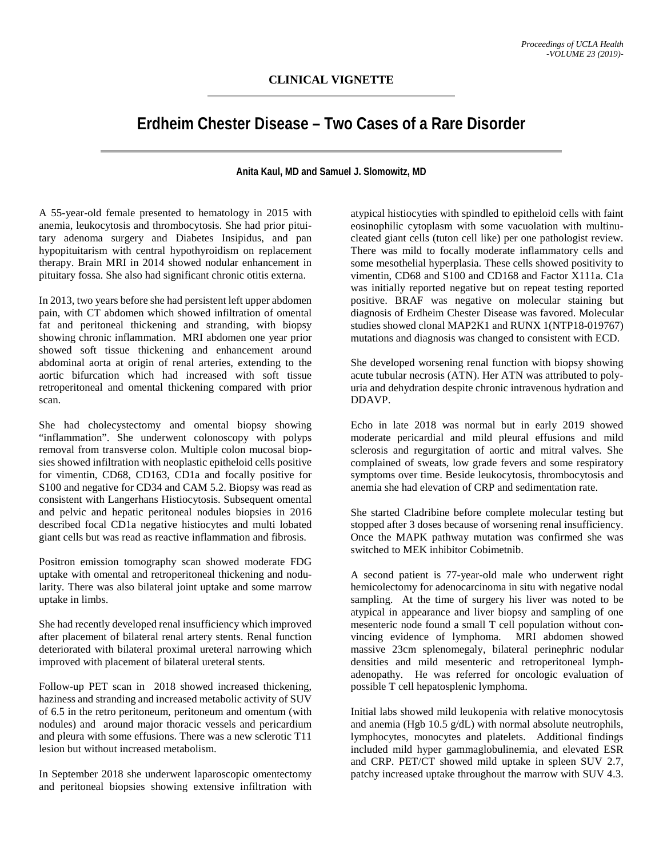## **Erdheim Chester Disease – Two Cases of a Rare Disorder**

**Anita Kaul, MD and Samuel J. Slomowitz, MD**

A 55-year-old female presented to hematology in 2015 with anemia, leukocytosis and thrombocytosis. She had prior pituitary adenoma surgery and Diabetes Insipidus, and pan hypopituitarism with central hypothyroidism on replacement therapy. Brain MRI in 2014 showed nodular enhancement in pituitary fossa. She also had significant chronic otitis externa.

In 2013, two years before she had persistent left upper abdomen pain, with CT abdomen which showed infiltration of omental fat and peritoneal thickening and stranding, with biopsy showing chronic inflammation. MRI abdomen one year prior showed soft tissue thickening and enhancement around abdominal aorta at origin of renal arteries, extending to the aortic bifurcation which had increased with soft tissue retroperitoneal and omental thickening compared with prior scan.

She had cholecystectomy and omental biopsy showing "inflammation". She underwent colonoscopy with polyps removal from transverse colon. Multiple colon mucosal biopsies showed infiltration with neoplastic epitheloid cells positive for vimentin, CD68, CD163, CD1a and focally positive for S100 and negative for CD34 and CAM 5.2. Biopsy was read as consistent with Langerhans Histiocytosis. Subsequent omental and pelvic and hepatic peritoneal nodules biopsies in 2016 described focal CD1a negative histiocytes and multi lobated giant cells but was read as reactive inflammation and fibrosis.

Positron emission tomography scan showed moderate FDG uptake with omental and retroperitoneal thickening and nodularity. There was also bilateral joint uptake and some marrow uptake in limbs.

She had recently developed renal insufficiency which improved after placement of bilateral renal artery stents. Renal function deteriorated with bilateral proximal ureteral narrowing which improved with placement of bilateral ureteral stents.

Follow-up PET scan in 2018 showed increased thickening, haziness and stranding and increased metabolic activity of SUV of 6.5 in the retro peritoneum, peritoneum and omentum (with nodules) and around major thoracic vessels and pericardium and pleura with some effusions. There was a new sclerotic T11 lesion but without increased metabolism.

In September 2018 she underwent laparoscopic omentectomy and peritoneal biopsies showing extensive infiltration with

atypical histiocyties with spindled to epitheloid cells with faint eosinophilic cytoplasm with some vacuolation with multinucleated giant cells (tuton cell like) per one pathologist review. There was mild to focally moderate inflammatory cells and some mesothelial hyperplasia. These cells showed positivity to vimentin, CD68 and S100 and CD168 and Factor X111a. C1a was initially reported negative but on repeat testing reported positive. BRAF was negative on molecular staining but diagnosis of Erdheim Chester Disease was favored. Molecular studies showed clonal MAP2K1 and RUNX 1(NTP18-019767) mutations and diagnosis was changed to consistent with ECD.

She developed worsening renal function with biopsy showing acute tubular necrosis (ATN). Her ATN was attributed to polyuria and dehydration despite chronic intravenous hydration and DDAVP.

Echo in late 2018 was normal but in early 2019 showed moderate pericardial and mild pleural effusions and mild sclerosis and regurgitation of aortic and mitral valves. She complained of sweats, low grade fevers and some respiratory symptoms over time. Beside leukocytosis, thrombocytosis and anemia she had elevation of CRP and sedimentation rate.

She started Cladribine before complete molecular testing but stopped after 3 doses because of worsening renal insufficiency. Once the MAPK pathway mutation was confirmed she was switched to MEK inhibitor Cobimetnib.

A second patient is 77-year-old male who underwent right hemicolectomy for adenocarcinoma in situ with negative nodal sampling. At the time of surgery his liver was noted to be atypical in appearance and liver biopsy and sampling of one mesenteric node found a small T cell population without convincing evidence of lymphoma. MRI abdomen showed massive 23cm splenomegaly, bilateral perinephric nodular densities and mild mesenteric and retroperitoneal lymphadenopathy. He was referred for oncologic evaluation of possible T cell hepatosplenic lymphoma.

Initial labs showed mild leukopenia with relative monocytosis and anemia (Hgb 10.5 g/dL) with normal absolute neutrophils, lymphocytes, monocytes and platelets. Additional findings included mild hyper gammaglobulinemia, and elevated ESR and CRP. PET/CT showed mild uptake in spleen SUV 2.7, patchy increased uptake throughout the marrow with SUV 4.3.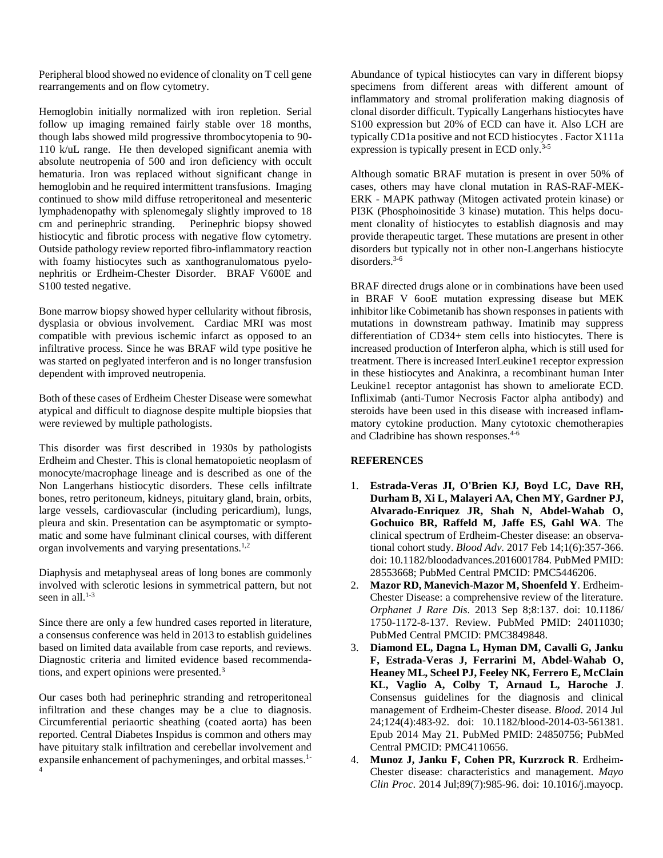Peripheral blood showed no evidence of clonality on T cell gene rearrangements and on flow cytometry.

Hemoglobin initially normalized with iron repletion. Serial follow up imaging remained fairly stable over 18 months, though labs showed mild progressive thrombocytopenia to 90- 110 k/uL range. He then developed significant anemia with absolute neutropenia of 500 and iron deficiency with occult hematuria. Iron was replaced without significant change in hemoglobin and he required intermittent transfusions. Imaging continued to show mild diffuse retroperitoneal and mesenteric lymphadenopathy with splenomegaly slightly improved to 18 cm and perinephric stranding. Perinephric biopsy showed histiocytic and fibrotic process with negative flow cytometry. Outside pathology review reported fibro-inflammatory reaction with foamy histiocytes such as xanthogranulomatous pyelonephritis or Erdheim-Chester Disorder. BRAF V600E and S100 tested negative.

Bone marrow biopsy showed hyper cellularity without fibrosis, dysplasia or obvious involvement. Cardiac MRI was most compatible with previous ischemic infarct as opposed to an infiltrative process. Since he was BRAF wild type positive he was started on peglyated interferon and is no longer transfusion dependent with improved neutropenia.

Both of these cases of Erdheim Chester Disease were somewhat atypical and difficult to diagnose despite multiple biopsies that were reviewed by multiple pathologists.

This disorder was first described in 1930s by pathologists Erdheim and Chester. This is clonal hematopoietic neoplasm of monocyte/macrophage lineage and is described as one of the Non Langerhans histiocytic disorders. These cells infiltrate bones, retro peritoneum, kidneys, pituitary gland, brain, orbits, large vessels, cardiovascular (including pericardium), lungs, pleura and skin. Presentation can be asymptomatic or symptomatic and some have fulminant clinical courses, with different organ involvements and varying presentations.<sup>1,2</sup>

Diaphysis and metaphyseal areas of long bones are commonly involved with sclerotic lesions in symmetrical pattern, but not seen in all. $1-3$ 

Since there are only a few hundred cases reported in literature, a consensus conference was held in 2013 to establish guidelines based on limited data available from case reports, and reviews. Diagnostic criteria and limited evidence based recommendations, and expert opinions were presented. 3

Our cases both had perinephric stranding and retroperitoneal infiltration and these changes may be a clue to diagnosis. Circumferential periaortic sheathing (coated aorta) has been reported. Central Diabetes Inspidus is common and others may have pituitary stalk infiltration and cerebellar involvement and expansile enhancement of pachymeninges, and orbital masses.<sup>1-</sup> 4

Abundance of typical histiocytes can vary in different biopsy specimens from different areas with different amount of inflammatory and stromal proliferation making diagnosis of clonal disorder difficult. Typically Langerhans histiocytes have S100 expression but 20% of ECD can have it. Also LCH are typically CD1a positive and not ECD histiocytes . Factor X111a expression is typically present in ECD only.<sup>3-5</sup>

Although somatic BRAF mutation is present in over 50% of cases, others may have clonal mutation in RAS-RAF-MEK-ERK - MAPK pathway (Mitogen activated protein kinase) or PI3K (Phosphoinositide 3 kinase) mutation. This helps document clonality of histiocytes to establish diagnosis and may provide therapeutic target. These mutations are present in other disorders but typically not in other non-Langerhans histiocyte disorders.3-6

BRAF directed drugs alone or in combinations have been used in BRAF V 6ooE mutation expressing disease but MEK inhibitor like Cobimetanib has shown responses in patients with mutations in downstream pathway. Imatinib may suppress differentiation of CD34+ stem cells into histiocytes. There is increased production of Interferon alpha, which is still used for treatment. There is increased InterLeukine1 receptor expression in these histiocytes and Anakinra, a recombinant human Inter Leukine1 receptor antagonist has shown to ameliorate ECD. Infliximab (anti-Tumor Necrosis Factor alpha antibody) and steroids have been used in this disease with increased inflammatory cytokine production. Many cytotoxic chemotherapies and Cladribine has shown responses.4-6

## **REFERENCES**

- 1. **Estrada-Veras JI, O'Brien KJ, Boyd LC, Dave RH, Durham B, Xi L, Malayeri AA, Chen MY, Gardner PJ, Alvarado-Enriquez JR, Shah N, Abdel-Wahab O, Gochuico BR, Raffeld M, Jaffe ES, Gahl WA**. The clinical spectrum of Erdheim-Chester disease: an observational cohort study. *Blood Adv*. 2017 Feb 14;1(6):357-366. doi: 10.1182/bloodadvances.2016001784. PubMed PMID: 28553668; PubMed Central PMCID: PMC5446206.
- 2. **Mazor RD, Manevich-Mazor M, Shoenfeld Y**. Erdheim-Chester Disease: a comprehensive review of the literature. *Orphanet J Rare Dis*. 2013 Sep 8;8:137. doi: 10.1186/ 1750-1172-8-137. Review. PubMed PMID: 24011030; PubMed Central PMCID: PMC3849848.
- 3. **Diamond EL, Dagna L, Hyman DM, Cavalli G, Janku F, Estrada-Veras J, Ferrarini M, Abdel-Wahab O, Heaney ML, Scheel PJ, Feeley NK, Ferrero E, McClain KL, Vaglio A, Colby T, Arnaud L, Haroche J**. Consensus guidelines for the diagnosis and clinical management of Erdheim-Chester disease. *Blood*. 2014 Jul 24;124(4):483-92. doi: 10.1182/blood-2014-03-561381. Epub 2014 May 21. PubMed PMID: 24850756; PubMed Central PMCID: PMC4110656.
- 4. **Munoz J, Janku F, Cohen PR, Kurzrock R**. Erdheim-Chester disease: characteristics and management. *Mayo Clin Proc*. 2014 Jul;89(7):985-96. doi: 10.1016/j.mayocp.